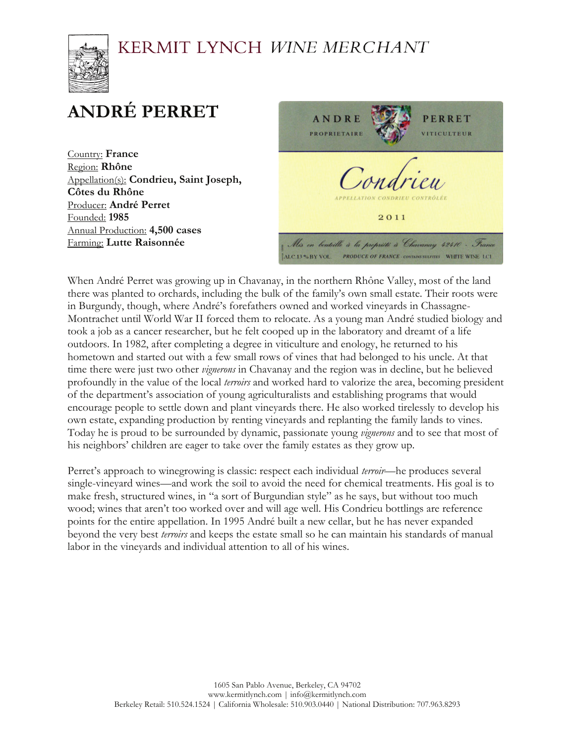

# **ANDRÉ PERRET**

Country: **France** Region: **Rhône** Appellation(s): **Condrieu, Saint Joseph, Côtes du Rhône** Producer: **André Perret** Founded: **1985** Annual Production: **4,500 cases** Farming: **Lutte Raisonnée** 



When André Perret was growing up in Chavanay, in the northern Rhône Valley, most of the land there was planted to orchards, including the bulk of the family's own small estate. Their roots were in Burgundy, though, where André's forefathers owned and worked vineyards in Chassagne-Montrachet until World War II forced them to relocate. As a young man André studied biology and took a job as a cancer researcher, but he felt cooped up in the laboratory and dreamt of a life outdoors. In 1982, after completing a degree in viticulture and enology, he returned to his hometown and started out with a few small rows of vines that had belonged to his uncle. At that time there were just two other *vignerons* in Chavanay and the region was in decline, but he believed profoundly in the value of the local *terroirs* and worked hard to valorize the area, becoming president of the department's association of young agriculturalists and establishing programs that would encourage people to settle down and plant vineyards there. He also worked tirelessly to develop his own estate, expanding production by renting vineyards and replanting the family lands to vines. Today he is proud to be surrounded by dynamic, passionate young *vignerons* and to see that most of his neighbors' children are eager to take over the family estates as they grow up.

Perret's approach to winegrowing is classic: respect each individual *terroir*—he produces several single-vineyard wines—and work the soil to avoid the need for chemical treatments. His goal is to make fresh, structured wines, in "a sort of Burgundian style" as he says, but without too much wood; wines that aren't too worked over and will age well. His Condrieu bottlings are reference points for the entire appellation. In 1995 André built a new cellar, but he has never expanded beyond the very best *terroirs* and keeps the estate small so he can maintain his standards of manual labor in the vineyards and individual attention to all of his wines.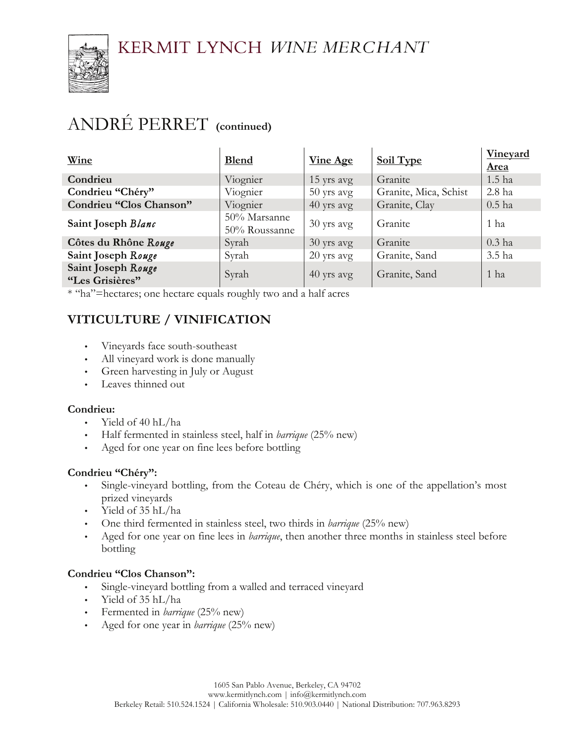

## ANDRÉ PERRET **(continued)**

| Wine                                  | <b>Blend</b>                  | <b>Vine Age</b> | Soil Type             | <b>Vineyard</b><br><b>Area</b> |
|---------------------------------------|-------------------------------|-----------------|-----------------------|--------------------------------|
| Condrieu                              | Viognier                      | 15 yrs avg      | Granite               | $1.5$ ha                       |
| Condrieu "Chéry"                      | Viognier                      | $50$ yrs avg    | Granite, Mica, Schist | 2.8 ha                         |
| Condrieu "Clos Chanson"               | Viognier                      | 40 yrs avg      | Granite, Clay         | $0.5$ ha                       |
| Saint Joseph Blanc                    | 50% Marsanne<br>50% Roussanne | 30 yrs avg      | Granite               | 1 ha                           |
| Côtes du Rhône Rouge                  | Syrah                         | 30 yrs avg      | Granite               | $0.3$ ha                       |
| Saint Joseph Rouge                    | Syrah                         | $20$ yrs avg    | Granite, Sand         | 3.5 ha                         |
| Saint Joseph Rouge<br>"Les Grisières" | Syrah                         | 40 yrs avg      | Granite, Sand         | 1 ha                           |

\* "ha"=hectares; one hectare equals roughly two and a half acres

### **VITICULTURE / VINIFICATION**

- Vineyards face south-southeast
- All vineyard work is done manually
- Green harvesting in July or August
- Leaves thinned out

### **Condrieu:**

- Yield of 40 hL/ha
- Half fermented in stainless steel, half in *barrique* (25% new)
- Aged for one year on fine lees before bottling

### **Condrieu "Chéry":**

- Single-vineyard bottling, from the Coteau de Chéry, which is one of the appellation's most prized vineyards
- Yield of 35 hL/ha
- One third fermented in stainless steel, two thirds in *barrique* (25% new)
- Aged for one year on fine lees in *barrique*, then another three months in stainless steel before bottling

### **Condrieu "Clos Chanson":**

- Single-vineyard bottling from a walled and terraced vineyard
- Yield of 35 hL/ha
- Fermented in *barrique* (25% new)
- Aged for one year in *barrique* (25% new)